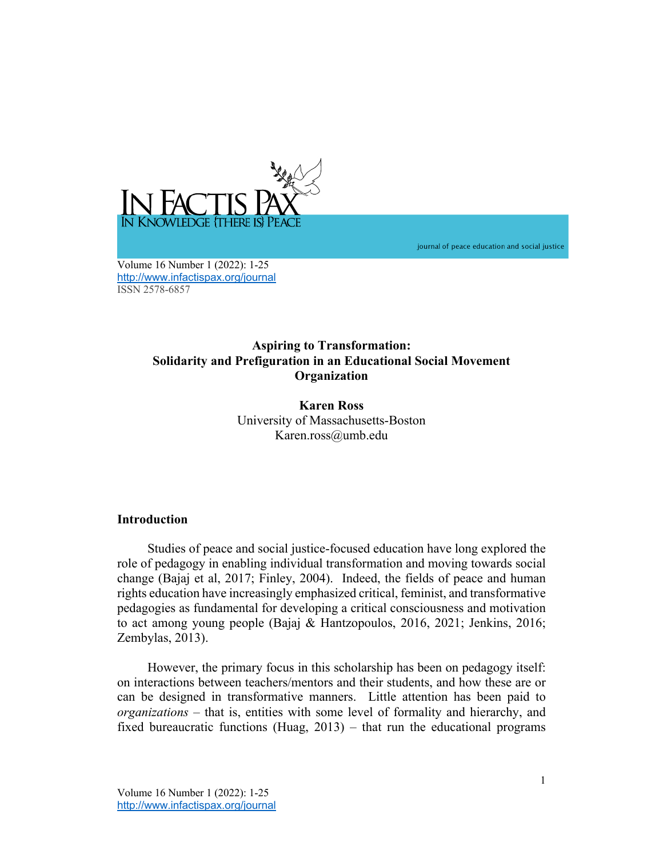

journal of peace education and social justice

Volume 16 Number 1 (2022): 1-25 http://www.infactispax.org/journal ISSN 2578-6857

# **Aspiring to Transformation: Solidarity and Prefiguration in an Educational Social Movement Organization**

**Karen Ross** University of Massachusetts-Boston Karen.ross@umb.edu

## **Introduction**

Studies of peace and social justice-focused education have long explored the role of pedagogy in enabling individual transformation and moving towards social change (Bajaj et al, 2017; Finley, 2004). Indeed, the fields of peace and human rights education have increasingly emphasized critical, feminist, and transformative pedagogies as fundamental for developing a critical consciousness and motivation to act among young people (Bajaj & Hantzopoulos, 2016, 2021; Jenkins, 2016; Zembylas, 2013).

However, the primary focus in this scholarship has been on pedagogy itself: on interactions between teachers/mentors and their students, and how these are or can be designed in transformative manners. Little attention has been paid to *organizations* – that is, entities with some level of formality and hierarchy, and fixed bureaucratic functions (Huag, 2013) – that run the educational programs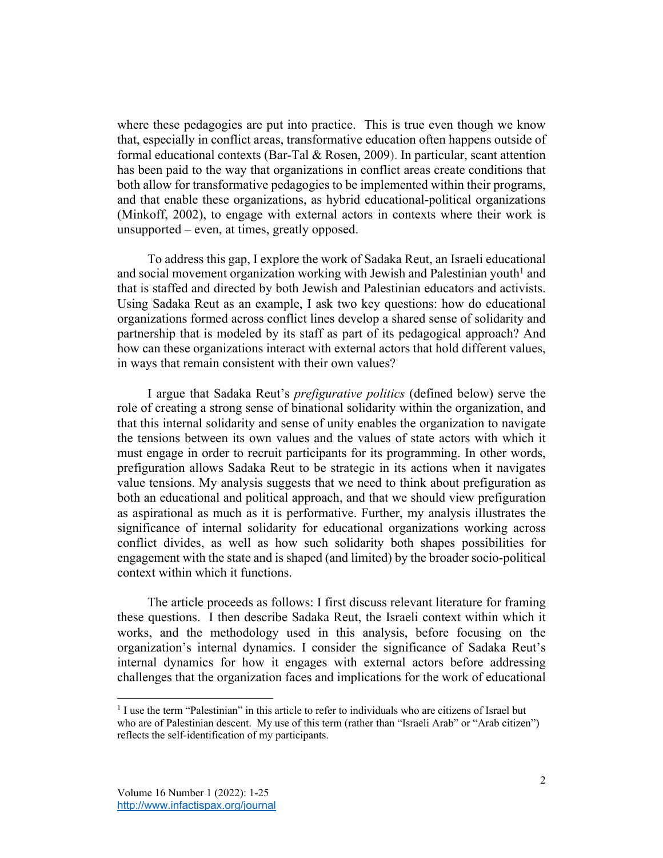where these pedagogies are put into practice. This is true even though we know that, especially in conflict areas, transformative education often happens outside of formal educational contexts (Bar-Tal & Rosen, 2009). In particular, scant attention has been paid to the way that organizations in conflict areas create conditions that both allow for transformative pedagogies to be implemented within their programs, and that enable these organizations, as hybrid educational-political organizations (Minkoff, 2002), to engage with external actors in contexts where their work is unsupported – even, at times, greatly opposed.

To address this gap, I explore the work of Sadaka Reut, an Israeli educational and social movement organization working with Jewish and Palestinian youth<sup>1</sup> and that is staffed and directed by both Jewish and Palestinian educators and activists. Using Sadaka Reut as an example, I ask two key questions: how do educational organizations formed across conflict lines develop a shared sense of solidarity and partnership that is modeled by its staff as part of its pedagogical approach? And how can these organizations interact with external actors that hold different values, in ways that remain consistent with their own values?

I argue that Sadaka Reut's *prefigurative politics* (defined below) serve the role of creating a strong sense of binational solidarity within the organization, and that this internal solidarity and sense of unity enables the organization to navigate the tensions between its own values and the values of state actors with which it must engage in order to recruit participants for its programming. In other words, prefiguration allows Sadaka Reut to be strategic in its actions when it navigates value tensions. My analysis suggests that we need to think about prefiguration as both an educational and political approach, and that we should view prefiguration as aspirational as much as it is performative. Further, my analysis illustrates the significance of internal solidarity for educational organizations working across conflict divides, as well as how such solidarity both shapes possibilities for engagement with the state and is shaped (and limited) by the broader socio-political context within which it functions.

The article proceeds as follows: I first discuss relevant literature for framing these questions. I then describe Sadaka Reut, the Israeli context within which it works, and the methodology used in this analysis, before focusing on the organization's internal dynamics. I consider the significance of Sadaka Reut's internal dynamics for how it engages with external actors before addressing challenges that the organization faces and implications for the work of educational

<sup>&</sup>lt;sup>1</sup> I use the term "Palestinian" in this article to refer to individuals who are citizens of Israel but who are of Palestinian descent. My use of this term (rather than "Israeli Arab" or "Arab citizen") reflects the self-identification of my participants.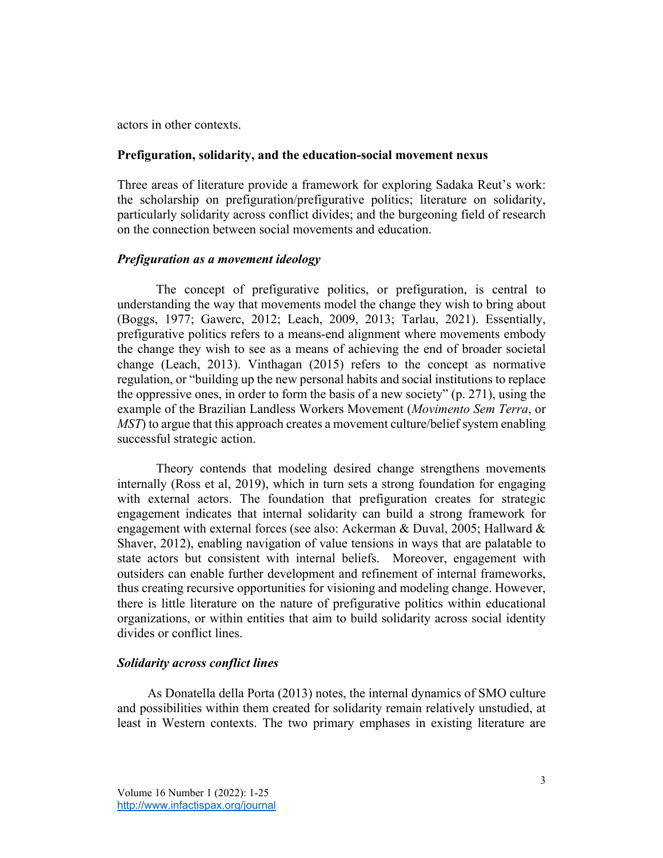actors in other contexts.

## **Prefiguration, solidarity, and the education-social movement nexus**

Three areas of literature provide a framework for exploring Sadaka Reut's work: the scholarship on prefiguration/prefigurative politics; literature on solidarity, particularly solidarity across conflict divides; and the burgeoning field of research on the connection between social movements and education.

### *Prefiguration as a movement ideology*

The concept of prefigurative politics, or prefiguration, is central to understanding the way that movements model the change they wish to bring about (Boggs, 1977; Gawerc, 2012; Leach, 2009, 2013; Tarlau, 2021). Essentially, prefigurative politics refers to a means-end alignment where movements embody the change they wish to see as a means of achieving the end of broader societal change (Leach, 2013). Vinthagan (2015) refers to the concept as normative regulation, or "building up the new personal habits and social institutions to replace the oppressive ones, in order to form the basis of a new society" (p. 271), using the example of the Brazilian Landless Workers Movement (*Movimento Sem Terra*, or *MST*) to argue that this approach creates a movement culture/belief system enabling successful strategic action.

Theory contends that modeling desired change strengthens movements internally (Ross et al, 2019), which in turn sets a strong foundation for engaging with external actors. The foundation that prefiguration creates for strategic engagement indicates that internal solidarity can build a strong framework for engagement with external forces (see also: Ackerman & Duval, 2005; Hallward  $\&$ Shaver, 2012), enabling navigation of value tensions in ways that are palatable to state actors but consistent with internal beliefs. Moreover, engagement with outsiders can enable further development and refinement of internal frameworks, thus creating recursive opportunities for visioning and modeling change. However, there is little literature on the nature of prefigurative politics within educational organizations, or within entities that aim to build solidarity across social identity divides or conflict lines.

## *Solidarity across conflict lines*

As Donatella della Porta (2013) notes, the internal dynamics of SMO culture and possibilities within them created for solidarity remain relatively unstudied, at least in Western contexts. The two primary emphases in existing literature are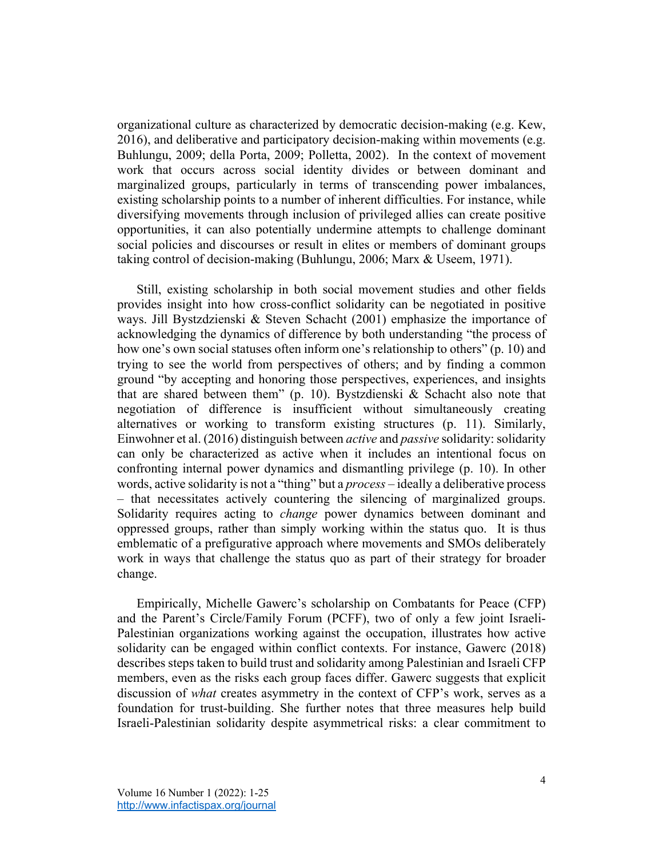organizational culture as characterized by democratic decision-making (e.g. Kew, 2016), and deliberative and participatory decision-making within movements (e.g. Buhlungu, 2009; della Porta, 2009; Polletta, 2002). In the context of movement work that occurs across social identity divides or between dominant and marginalized groups, particularly in terms of transcending power imbalances, existing scholarship points to a number of inherent difficulties. For instance, while diversifying movements through inclusion of privileged allies can create positive opportunities, it can also potentially undermine attempts to challenge dominant social policies and discourses or result in elites or members of dominant groups taking control of decision-making (Buhlungu, 2006; Marx & Useem, 1971).

Still, existing scholarship in both social movement studies and other fields provides insight into how cross-conflict solidarity can be negotiated in positive ways. Jill Bystzdzienski & Steven Schacht (2001) emphasize the importance of acknowledging the dynamics of difference by both understanding "the process of how one's own social statuses often inform one's relationship to others" (p. 10) and trying to see the world from perspectives of others; and by finding a common ground "by accepting and honoring those perspectives, experiences, and insights that are shared between them" (p. 10). Bystzdienski & Schacht also note that negotiation of difference is insufficient without simultaneously creating alternatives or working to transform existing structures (p. 11). Similarly, Einwohner et al. (2016) distinguish between *active* and *passive* solidarity: solidarity can only be characterized as active when it includes an intentional focus on confronting internal power dynamics and dismantling privilege (p. 10). In other words, active solidarity is not a "thing" but a *process* – ideally a deliberative process – that necessitates actively countering the silencing of marginalized groups. Solidarity requires acting to *change* power dynamics between dominant and oppressed groups, rather than simply working within the status quo. It is thus emblematic of a prefigurative approach where movements and SMOs deliberately work in ways that challenge the status quo as part of their strategy for broader change.

Empirically, Michelle Gawerc's scholarship on Combatants for Peace (CFP) and the Parent's Circle/Family Forum (PCFF), two of only a few joint Israeli-Palestinian organizations working against the occupation, illustrates how active solidarity can be engaged within conflict contexts. For instance, Gawerc (2018) describes steps taken to build trust and solidarity among Palestinian and Israeli CFP members, even as the risks each group faces differ. Gawerc suggests that explicit discussion of *what* creates asymmetry in the context of CFP's work, serves as a foundation for trust-building. She further notes that three measures help build Israeli-Palestinian solidarity despite asymmetrical risks: a clear commitment to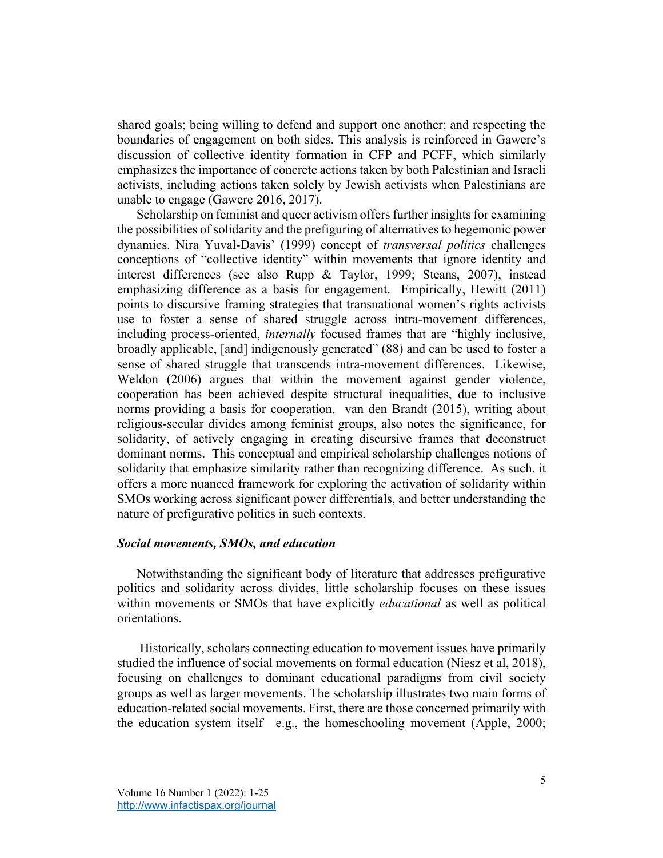shared goals; being willing to defend and support one another; and respecting the boundaries of engagement on both sides. This analysis is reinforced in Gawerc's discussion of collective identity formation in CFP and PCFF, which similarly emphasizes the importance of concrete actions taken by both Palestinian and Israeli activists, including actions taken solely by Jewish activists when Palestinians are unable to engage (Gawerc 2016, 2017).

Scholarship on feminist and queer activism offers further insights for examining the possibilities of solidarity and the prefiguring of alternatives to hegemonic power dynamics. Nira Yuval-Davis' (1999) concept of *transversal politics* challenges conceptions of "collective identity" within movements that ignore identity and interest differences (see also Rupp & Taylor, 1999; Steans, 2007), instead emphasizing difference as a basis for engagement. Empirically, Hewitt (2011) points to discursive framing strategies that transnational women's rights activists use to foster a sense of shared struggle across intra-movement differences, including process-oriented, *internally* focused frames that are "highly inclusive, broadly applicable, [and] indigenously generated" (88) and can be used to foster a sense of shared struggle that transcends intra-movement differences. Likewise, Weldon (2006) argues that within the movement against gender violence, cooperation has been achieved despite structural inequalities, due to inclusive norms providing a basis for cooperation. van den Brandt (2015), writing about religious-secular divides among feminist groups, also notes the significance, for solidarity, of actively engaging in creating discursive frames that deconstruct dominant norms. This conceptual and empirical scholarship challenges notions of solidarity that emphasize similarity rather than recognizing difference. As such, it offers a more nuanced framework for exploring the activation of solidarity within SMOs working across significant power differentials, and better understanding the nature of prefigurative politics in such contexts.

#### *Social movements, SMOs, and education*

Notwithstanding the significant body of literature that addresses prefigurative politics and solidarity across divides, little scholarship focuses on these issues within movements or SMOs that have explicitly *educational* as well as political orientations.

Historically, scholars connecting education to movement issues have primarily studied the influence of social movements on formal education (Niesz et al, 2018), focusing on challenges to dominant educational paradigms from civil society groups as well as larger movements. The scholarship illustrates two main forms of education-related social movements. First, there are those concerned primarily with the education system itself—e.g., the homeschooling movement (Apple, 2000;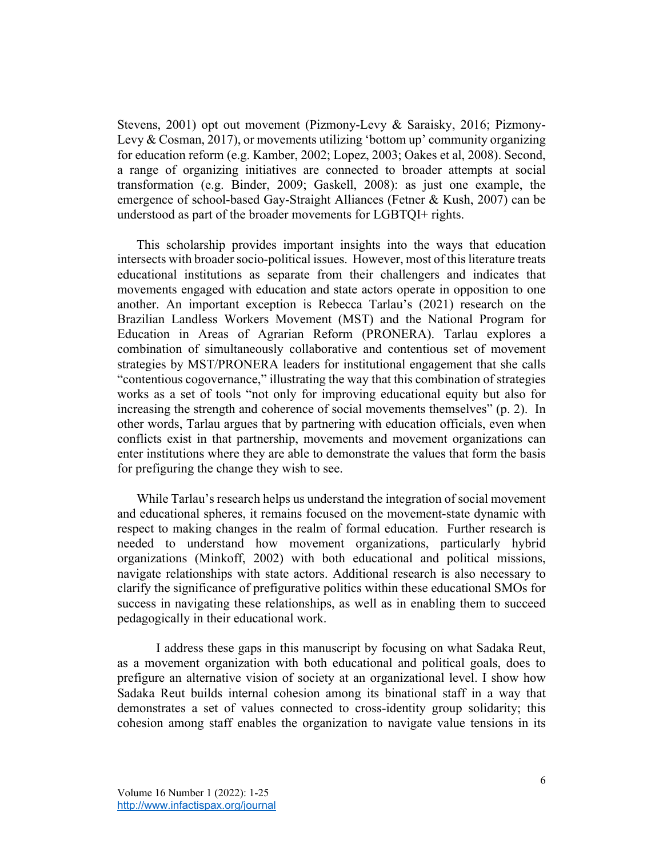Stevens, 2001) opt out movement (Pizmony-Levy & Saraisky, 2016; Pizmony-Levy & Cosman, 2017), or movements utilizing 'bottom up' community organizing for education reform (e.g. Kamber, 2002; Lopez, 2003; Oakes et al, 2008). Second, a range of organizing initiatives are connected to broader attempts at social transformation (e.g. Binder, 2009; Gaskell, 2008): as just one example, the emergence of school-based Gay-Straight Alliances (Fetner & Kush, 2007) can be understood as part of the broader movements for LGBTQI+ rights.

This scholarship provides important insights into the ways that education intersects with broader socio-political issues. However, most of this literature treats educational institutions as separate from their challengers and indicates that movements engaged with education and state actors operate in opposition to one another. An important exception is Rebecca Tarlau's (2021) research on the Brazilian Landless Workers Movement (MST) and the National Program for Education in Areas of Agrarian Reform (PRONERA). Tarlau explores a combination of simultaneously collaborative and contentious set of movement strategies by MST/PRONERA leaders for institutional engagement that she calls "contentious cogovernance," illustrating the way that this combination of strategies works as a set of tools "not only for improving educational equity but also for increasing the strength and coherence of social movements themselves" (p. 2). In other words, Tarlau argues that by partnering with education officials, even when conflicts exist in that partnership, movements and movement organizations can enter institutions where they are able to demonstrate the values that form the basis for prefiguring the change they wish to see.

While Tarlau's research helps us understand the integration of social movement and educational spheres, it remains focused on the movement-state dynamic with respect to making changes in the realm of formal education. Further research is needed to understand how movement organizations, particularly hybrid organizations (Minkoff, 2002) with both educational and political missions, navigate relationships with state actors. Additional research is also necessary to clarify the significance of prefigurative politics within these educational SMOs for success in navigating these relationships, as well as in enabling them to succeed pedagogically in their educational work.

I address these gaps in this manuscript by focusing on what Sadaka Reut, as a movement organization with both educational and political goals, does to prefigure an alternative vision of society at an organizational level. I show how Sadaka Reut builds internal cohesion among its binational staff in a way that demonstrates a set of values connected to cross-identity group solidarity; this cohesion among staff enables the organization to navigate value tensions in its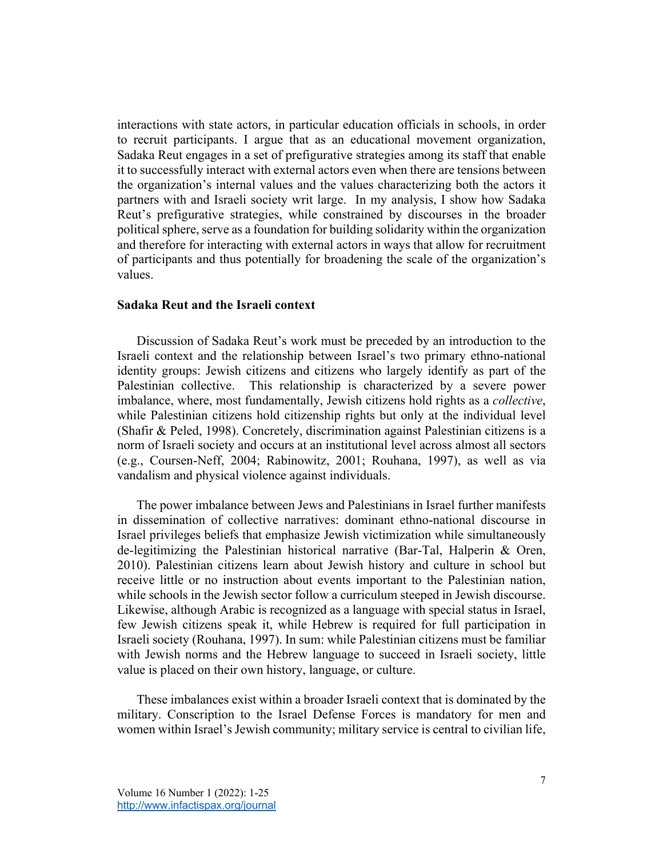interactions with state actors, in particular education officials in schools, in order to recruit participants. I argue that as an educational movement organization, Sadaka Reut engages in a set of prefigurative strategies among its staff that enable it to successfully interact with external actors even when there are tensions between the organization's internal values and the values characterizing both the actors it partners with and Israeli society writ large. In my analysis, I show how Sadaka Reut's prefigurative strategies, while constrained by discourses in the broader political sphere, serve as a foundation for building solidarity within the organization and therefore for interacting with external actors in ways that allow for recruitment of participants and thus potentially for broadening the scale of the organization's values.

## **Sadaka Reut and the Israeli context**

Discussion of Sadaka Reut's work must be preceded by an introduction to the Israeli context and the relationship between Israel's two primary ethno-national identity groups: Jewish citizens and citizens who largely identify as part of the Palestinian collective. This relationship is characterized by a severe power imbalance, where, most fundamentally, Jewish citizens hold rights as a *collective*, while Palestinian citizens hold citizenship rights but only at the individual level (Shafir & Peled, 1998). Concretely, discrimination against Palestinian citizens is a norm of Israeli society and occurs at an institutional level across almost all sectors (e.g., Coursen-Neff, 2004; Rabinowitz, 2001; Rouhana, 1997), as well as via vandalism and physical violence against individuals.

The power imbalance between Jews and Palestinians in Israel further manifests in dissemination of collective narratives: dominant ethno-national discourse in Israel privileges beliefs that emphasize Jewish victimization while simultaneously de-legitimizing the Palestinian historical narrative (Bar-Tal, Halperin & Oren, 2010). Palestinian citizens learn about Jewish history and culture in school but receive little or no instruction about events important to the Palestinian nation, while schools in the Jewish sector follow a curriculum steeped in Jewish discourse. Likewise, although Arabic is recognized as a language with special status in Israel, few Jewish citizens speak it, while Hebrew is required for full participation in Israeli society (Rouhana, 1997). In sum: while Palestinian citizens must be familiar with Jewish norms and the Hebrew language to succeed in Israeli society, little value is placed on their own history, language, or culture.

These imbalances exist within a broader Israeli context that is dominated by the military. Conscription to the Israel Defense Forces is mandatory for men and women within Israel's Jewish community; military service is central to civilian life,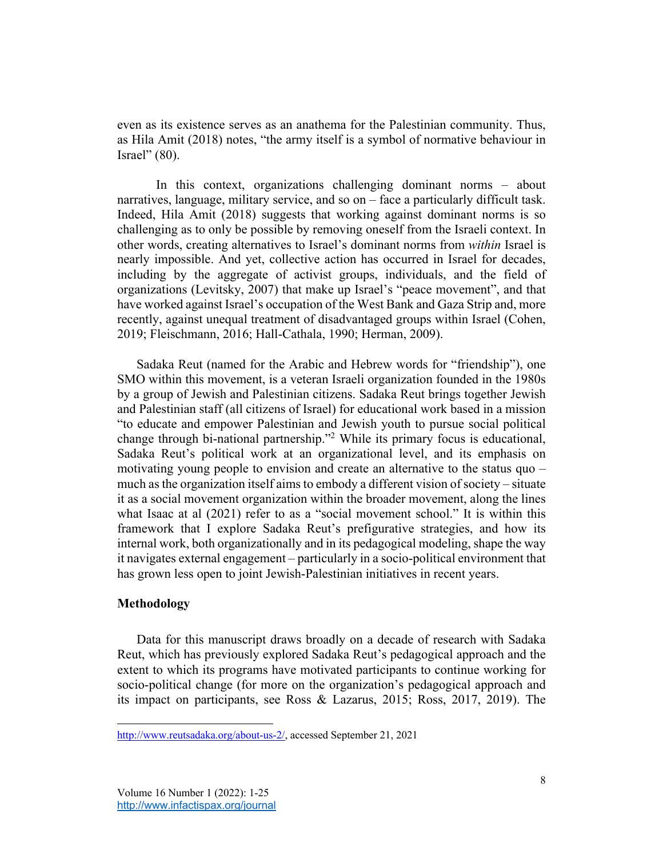even as its existence serves as an anathema for the Palestinian community. Thus, as Hila Amit (2018) notes, "the army itself is a symbol of normative behaviour in Israel" (80).

In this context, organizations challenging dominant norms – about narratives, language, military service, and so on – face a particularly difficult task. Indeed, Hila Amit (2018) suggests that working against dominant norms is so challenging as to only be possible by removing oneself from the Israeli context. In other words, creating alternatives to Israel's dominant norms from *within* Israel is nearly impossible. And yet, collective action has occurred in Israel for decades, including by the aggregate of activist groups, individuals, and the field of organizations (Levitsky, 2007) that make up Israel's "peace movement", and that have worked against Israel's occupation of the West Bank and Gaza Strip and, more recently, against unequal treatment of disadvantaged groups within Israel (Cohen, 2019; Fleischmann, 2016; Hall-Cathala, 1990; Herman, 2009).

Sadaka Reut (named for the Arabic and Hebrew words for "friendship"), one SMO within this movement, is a veteran Israeli organization founded in the 1980s by a group of Jewish and Palestinian citizens. Sadaka Reut brings together Jewish and Palestinian staff (all citizens of Israel) for educational work based in a mission "to educate and empower Palestinian and Jewish youth to pursue social political change through bi-national partnership."2 While its primary focus is educational, Sadaka Reut's political work at an organizational level, and its emphasis on motivating young people to envision and create an alternative to the status quo – much as the organization itself aims to embody a different vision of society – situate it as a social movement organization within the broader movement, along the lines what Isaac at al (2021) refer to as a "social movement school." It is within this framework that I explore Sadaka Reut's prefigurative strategies, and how its internal work, both organizationally and in its pedagogical modeling, shape the way it navigates external engagement – particularly in a socio-political environment that has grown less open to joint Jewish-Palestinian initiatives in recent years.

## **Methodology**

Data for this manuscript draws broadly on a decade of research with Sadaka Reut, which has previously explored Sadaka Reut's pedagogical approach and the extent to which its programs have motivated participants to continue working for socio-political change (for more on the organization's pedagogical approach and its impact on participants, see Ross & Lazarus, 2015; Ross, 2017, 2019). The

http://www.reutsadaka.org/about-us-2/, accessed September 21, 2021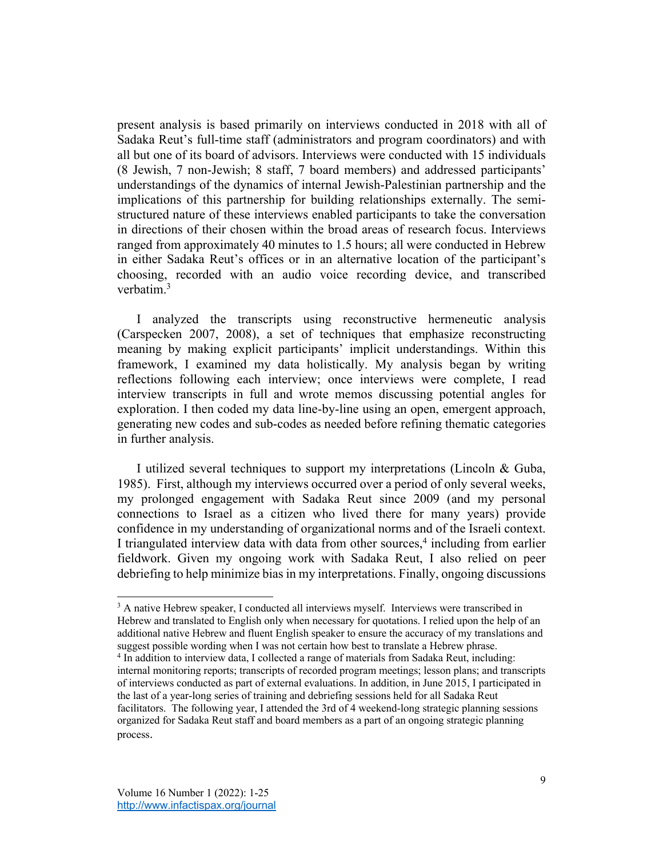present analysis is based primarily on interviews conducted in 2018 with all of Sadaka Reut's full-time staff (administrators and program coordinators) and with all but one of its board of advisors. Interviews were conducted with 15 individuals (8 Jewish, 7 non-Jewish; 8 staff, 7 board members) and addressed participants' understandings of the dynamics of internal Jewish-Palestinian partnership and the implications of this partnership for building relationships externally. The semistructured nature of these interviews enabled participants to take the conversation in directions of their chosen within the broad areas of research focus. Interviews ranged from approximately 40 minutes to 1.5 hours; all were conducted in Hebrew in either Sadaka Reut's offices or in an alternative location of the participant's choosing, recorded with an audio voice recording device, and transcribed verbatim.3

I analyzed the transcripts using reconstructive hermeneutic analysis (Carspecken 2007, 2008), a set of techniques that emphasize reconstructing meaning by making explicit participants' implicit understandings. Within this framework, I examined my data holistically. My analysis began by writing reflections following each interview; once interviews were complete, I read interview transcripts in full and wrote memos discussing potential angles for exploration. I then coded my data line-by-line using an open, emergent approach, generating new codes and sub-codes as needed before refining thematic categories in further analysis.

I utilized several techniques to support my interpretations (Lincoln & Guba, 1985). First, although my interviews occurred over a period of only several weeks, my prolonged engagement with Sadaka Reut since 2009 (and my personal connections to Israel as a citizen who lived there for many years) provide confidence in my understanding of organizational norms and of the Israeli context. I triangulated interview data with data from other sources, <sup>4</sup> including from earlier fieldwork. Given my ongoing work with Sadaka Reut, I also relied on peer debriefing to help minimize bias in my interpretations. Finally, ongoing discussions

<sup>&</sup>lt;sup>3</sup> A native Hebrew speaker, I conducted all interviews myself. Interviews were transcribed in Hebrew and translated to English only when necessary for quotations. I relied upon the help of an additional native Hebrew and fluent English speaker to ensure the accuracy of my translations and suggest possible wording when I was not certain how best to translate a Hebrew phrase.

<sup>4</sup> In addition to interview data, I collected a range of materials from Sadaka Reut, including: internal monitoring reports; transcripts of recorded program meetings; lesson plans; and transcripts of interviews conducted as part of external evaluations. In addition, in June 2015, I participated in the last of a year-long series of training and debriefing sessions held for all Sadaka Reut facilitators. The following year, I attended the 3rd of 4 weekend-long strategic planning sessions organized for Sadaka Reut staff and board members as a part of an ongoing strategic planning process.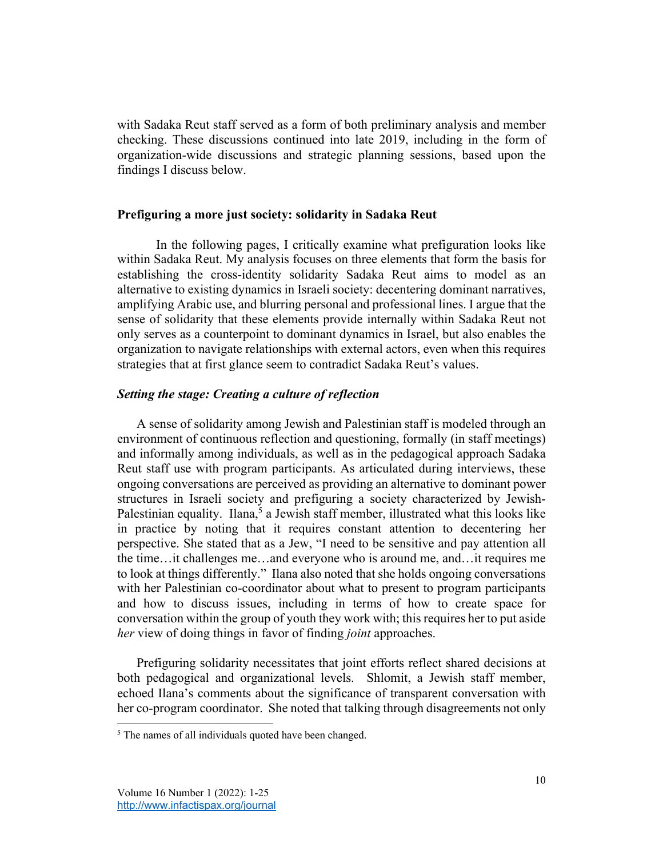with Sadaka Reut staff served as a form of both preliminary analysis and member checking. These discussions continued into late 2019, including in the form of organization-wide discussions and strategic planning sessions, based upon the findings I discuss below.

## **Prefiguring a more just society: solidarity in Sadaka Reut**

In the following pages, I critically examine what prefiguration looks like within Sadaka Reut. My analysis focuses on three elements that form the basis for establishing the cross-identity solidarity Sadaka Reut aims to model as an alternative to existing dynamics in Israeli society: decentering dominant narratives, amplifying Arabic use, and blurring personal and professional lines. I argue that the sense of solidarity that these elements provide internally within Sadaka Reut not only serves as a counterpoint to dominant dynamics in Israel, but also enables the organization to navigate relationships with external actors, even when this requires strategies that at first glance seem to contradict Sadaka Reut's values.

#### *Setting the stage: Creating a culture of reflection*

A sense of solidarity among Jewish and Palestinian staff is modeled through an environment of continuous reflection and questioning, formally (in staff meetings) and informally among individuals, as well as in the pedagogical approach Sadaka Reut staff use with program participants. As articulated during interviews, these ongoing conversations are perceived as providing an alternative to dominant power structures in Israeli society and prefiguring a society characterized by Jewish-Palestinian equality. Ilana,<sup>5</sup> a Jewish staff member, illustrated what this looks like in practice by noting that it requires constant attention to decentering her perspective. She stated that as a Jew, "I need to be sensitive and pay attention all the time…it challenges me…and everyone who is around me, and…it requires me to look at things differently." Ilana also noted that she holds ongoing conversations with her Palestinian co-coordinator about what to present to program participants and how to discuss issues, including in terms of how to create space for conversation within the group of youth they work with; this requires her to put aside *her* view of doing things in favor of finding *joint* approaches.

Prefiguring solidarity necessitates that joint efforts reflect shared decisions at both pedagogical and organizational levels. Shlomit, a Jewish staff member, echoed Ilana's comments about the significance of transparent conversation with her co-program coordinator. She noted that talking through disagreements not only

<sup>&</sup>lt;sup>5</sup> The names of all individuals quoted have been changed.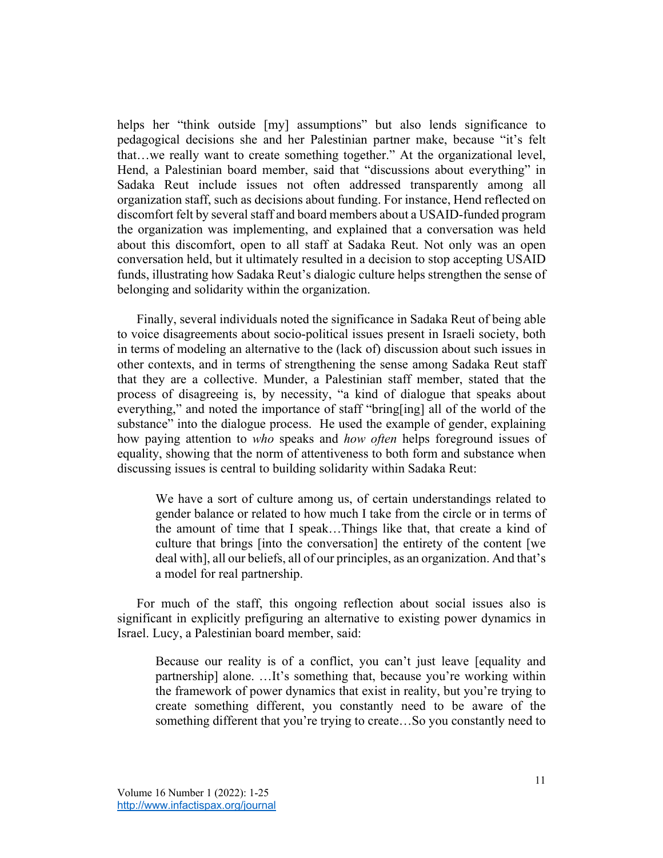helps her "think outside [my] assumptions" but also lends significance to pedagogical decisions she and her Palestinian partner make, because "it's felt that…we really want to create something together." At the organizational level, Hend, a Palestinian board member, said that "discussions about everything" in Sadaka Reut include issues not often addressed transparently among all organization staff, such as decisions about funding. For instance, Hend reflected on discomfort felt by several staff and board members about a USAID-funded program the organization was implementing, and explained that a conversation was held about this discomfort, open to all staff at Sadaka Reut. Not only was an open conversation held, but it ultimately resulted in a decision to stop accepting USAID funds, illustrating how Sadaka Reut's dialogic culture helps strengthen the sense of belonging and solidarity within the organization.

Finally, several individuals noted the significance in Sadaka Reut of being able to voice disagreements about socio-political issues present in Israeli society, both in terms of modeling an alternative to the (lack of) discussion about such issues in other contexts, and in terms of strengthening the sense among Sadaka Reut staff that they are a collective. Munder, a Palestinian staff member, stated that the process of disagreeing is, by necessity, "a kind of dialogue that speaks about everything," and noted the importance of staff "bring[ing] all of the world of the substance" into the dialogue process. He used the example of gender, explaining how paying attention to *who* speaks and *how often* helps foreground issues of equality, showing that the norm of attentiveness to both form and substance when discussing issues is central to building solidarity within Sadaka Reut:

We have a sort of culture among us, of certain understandings related to gender balance or related to how much I take from the circle or in terms of the amount of time that I speak…Things like that, that create a kind of culture that brings [into the conversation] the entirety of the content [we deal with], all our beliefs, all of our principles, as an organization. And that's a model for real partnership.

For much of the staff, this ongoing reflection about social issues also is significant in explicitly prefiguring an alternative to existing power dynamics in Israel. Lucy, a Palestinian board member, said:

Because our reality is of a conflict, you can't just leave [equality and partnership] alone. …It's something that, because you're working within the framework of power dynamics that exist in reality, but you're trying to create something different, you constantly need to be aware of the something different that you're trying to create...So you constantly need to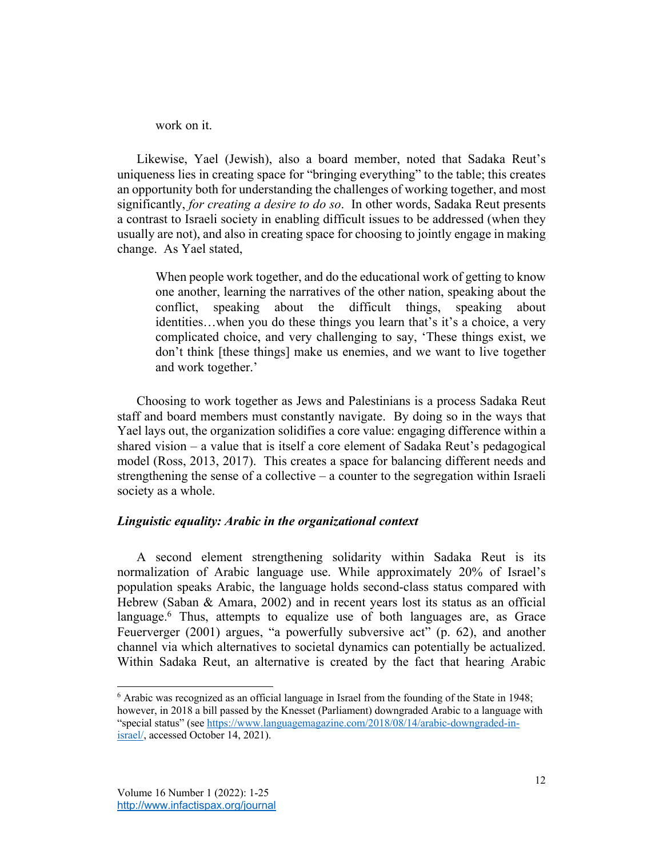work on it.

Likewise, Yael (Jewish), also a board member, noted that Sadaka Reut's uniqueness lies in creating space for "bringing everything" to the table; this creates an opportunity both for understanding the challenges of working together, and most significantly, *for creating a desire to do so*. In other words, Sadaka Reut presents a contrast to Israeli society in enabling difficult issues to be addressed (when they usually are not), and also in creating space for choosing to jointly engage in making change. As Yael stated,

When people work together, and do the educational work of getting to know one another, learning the narratives of the other nation, speaking about the conflict, speaking about the difficult things, speaking about identities…when you do these things you learn that's it's a choice, a very complicated choice, and very challenging to say, 'These things exist, we don't think [these things] make us enemies, and we want to live together and work together.'

Choosing to work together as Jews and Palestinians is a process Sadaka Reut staff and board members must constantly navigate. By doing so in the ways that Yael lays out, the organization solidifies a core value: engaging difference within a shared vision – a value that is itself a core element of Sadaka Reut's pedagogical model (Ross, 2013, 2017). This creates a space for balancing different needs and strengthening the sense of a collective – a counter to the segregation within Israeli society as a whole.

## *Linguistic equality: Arabic in the organizational context*

A second element strengthening solidarity within Sadaka Reut is its normalization of Arabic language use. While approximately 20% of Israel's population speaks Arabic, the language holds second-class status compared with Hebrew (Saban & Amara, 2002) and in recent years lost its status as an official language.<sup>6</sup> Thus, attempts to equalize use of both languages are, as Grace Feuerverger (2001) argues, "a powerfully subversive act" (p. 62), and another channel via which alternatives to societal dynamics can potentially be actualized. Within Sadaka Reut, an alternative is created by the fact that hearing Arabic

<sup>6</sup> Arabic was recognized as an official language in Israel from the founding of the State in 1948; however, in 2018 a bill passed by the Knesset (Parliament) downgraded Arabic to a language with "special status" (see https://www.languagemagazine.com/2018/08/14/arabic-downgraded-inisrael/, accessed October 14, 2021).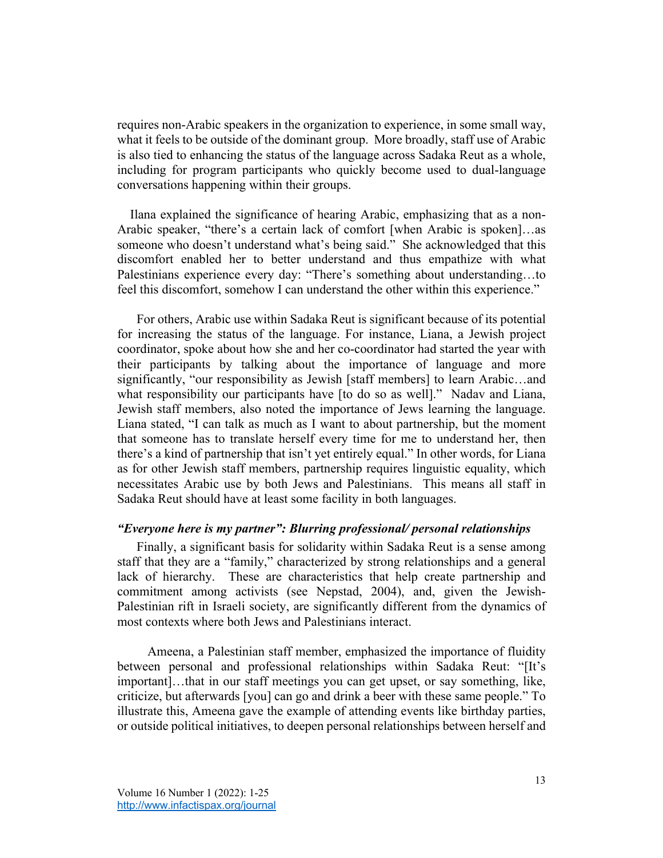requires non-Arabic speakers in the organization to experience, in some small way, what it feels to be outside of the dominant group. More broadly, staff use of Arabic is also tied to enhancing the status of the language across Sadaka Reut as a whole, including for program participants who quickly become used to dual-language conversations happening within their groups.

 Ilana explained the significance of hearing Arabic, emphasizing that as a non-Arabic speaker, "there's a certain lack of comfort [when Arabic is spoken]…as someone who doesn't understand what's being said." She acknowledged that this discomfort enabled her to better understand and thus empathize with what Palestinians experience every day: "There's something about understanding…to feel this discomfort, somehow I can understand the other within this experience."

For others, Arabic use within Sadaka Reut is significant because of its potential for increasing the status of the language. For instance, Liana, a Jewish project coordinator, spoke about how she and her co-coordinator had started the year with their participants by talking about the importance of language and more significantly, "our responsibility as Jewish [staff members] to learn Arabic…and what responsibility our participants have [to do so as well]." Nadav and Liana, Jewish staff members, also noted the importance of Jews learning the language. Liana stated, "I can talk as much as I want to about partnership, but the moment that someone has to translate herself every time for me to understand her, then there's a kind of partnership that isn't yet entirely equal." In other words, for Liana as for other Jewish staff members, partnership requires linguistic equality, which necessitates Arabic use by both Jews and Palestinians. This means all staff in Sadaka Reut should have at least some facility in both languages.

#### *"Everyone here is my partner": Blurring professional/ personal relationships*

Finally, a significant basis for solidarity within Sadaka Reut is a sense among staff that they are a "family," characterized by strong relationships and a general lack of hierarchy. These are characteristics that help create partnership and commitment among activists (see Nepstad, 2004), and, given the Jewish-Palestinian rift in Israeli society, are significantly different from the dynamics of most contexts where both Jews and Palestinians interact.

Ameena, a Palestinian staff member, emphasized the importance of fluidity between personal and professional relationships within Sadaka Reut: "[It's important]…that in our staff meetings you can get upset, or say something, like, criticize, but afterwards [you] can go and drink a beer with these same people." To illustrate this, Ameena gave the example of attending events like birthday parties, or outside political initiatives, to deepen personal relationships between herself and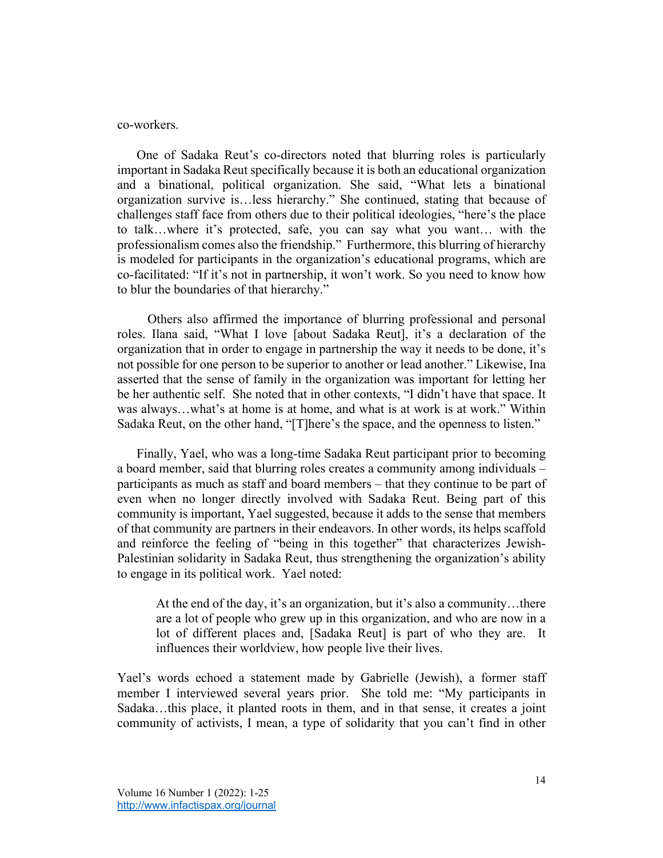#### co-workers.

One of Sadaka Reut's co-directors noted that blurring roles is particularly important in Sadaka Reut specifically because it is both an educational organization and a binational, political organization. She said, "What lets a binational organization survive is…less hierarchy." She continued, stating that because of challenges staff face from others due to their political ideologies, "here's the place to talk…where it's protected, safe, you can say what you want… with the professionalism comes also the friendship." Furthermore, this blurring of hierarchy is modeled for participants in the organization's educational programs, which are co-facilitated: "If it's not in partnership, it won't work. So you need to know how to blur the boundaries of that hierarchy."

Others also affirmed the importance of blurring professional and personal roles. Ilana said, "What I love [about Sadaka Reut], it's a declaration of the organization that in order to engage in partnership the way it needs to be done, it's not possible for one person to be superior to another or lead another." Likewise, Ina asserted that the sense of family in the organization was important for letting her be her authentic self. She noted that in other contexts, "I didn't have that space. It was always…what's at home is at home, and what is at work is at work." Within Sadaka Reut, on the other hand, "[T]here's the space, and the openness to listen."

Finally, Yael, who was a long-time Sadaka Reut participant prior to becoming a board member, said that blurring roles creates a community among individuals – participants as much as staff and board members – that they continue to be part of even when no longer directly involved with Sadaka Reut. Being part of this community is important, Yael suggested, because it adds to the sense that members of that community are partners in their endeavors. In other words, its helps scaffold and reinforce the feeling of "being in this together" that characterizes Jewish-Palestinian solidarity in Sadaka Reut, thus strengthening the organization's ability to engage in its political work. Yael noted:

At the end of the day, it's an organization, but it's also a community…there are a lot of people who grew up in this organization, and who are now in a lot of different places and, [Sadaka Reut] is part of who they are. It influences their worldview, how people live their lives.

Yael's words echoed a statement made by Gabrielle (Jewish), a former staff member I interviewed several years prior. She told me: "My participants in Sadaka…this place, it planted roots in them, and in that sense, it creates a joint community of activists, I mean, a type of solidarity that you can't find in other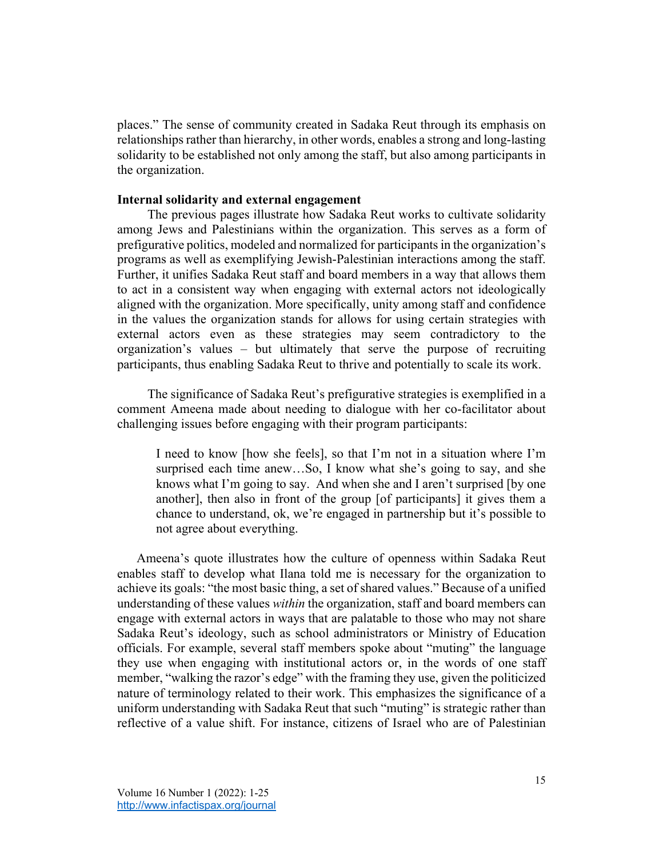places." The sense of community created in Sadaka Reut through its emphasis on relationships rather than hierarchy, in other words, enables a strong and long-lasting solidarity to be established not only among the staff, but also among participants in the organization.

#### **Internal solidarity and external engagement**

The previous pages illustrate how Sadaka Reut works to cultivate solidarity among Jews and Palestinians within the organization. This serves as a form of prefigurative politics, modeled and normalized for participants in the organization's programs as well as exemplifying Jewish-Palestinian interactions among the staff. Further, it unifies Sadaka Reut staff and board members in a way that allows them to act in a consistent way when engaging with external actors not ideologically aligned with the organization. More specifically, unity among staff and confidence in the values the organization stands for allows for using certain strategies with external actors even as these strategies may seem contradictory to the organization's values – but ultimately that serve the purpose of recruiting participants, thus enabling Sadaka Reut to thrive and potentially to scale its work.

The significance of Sadaka Reut's prefigurative strategies is exemplified in a comment Ameena made about needing to dialogue with her co-facilitator about challenging issues before engaging with their program participants:

I need to know [how she feels], so that I'm not in a situation where I'm surprised each time anew...So, I know what she's going to say, and she knows what I'm going to say. And when she and I aren't surprised [by one another], then also in front of the group [of participants] it gives them a chance to understand, ok, we're engaged in partnership but it's possible to not agree about everything.

Ameena's quote illustrates how the culture of openness within Sadaka Reut enables staff to develop what Ilana told me is necessary for the organization to achieve its goals: "the most basic thing, a set of shared values." Because of a unified understanding of these values *within* the organization, staff and board members can engage with external actors in ways that are palatable to those who may not share Sadaka Reut's ideology, such as school administrators or Ministry of Education officials. For example, several staff members spoke about "muting" the language they use when engaging with institutional actors or, in the words of one staff member, "walking the razor's edge" with the framing they use, given the politicized nature of terminology related to their work. This emphasizes the significance of a uniform understanding with Sadaka Reut that such "muting" is strategic rather than reflective of a value shift. For instance, citizens of Israel who are of Palestinian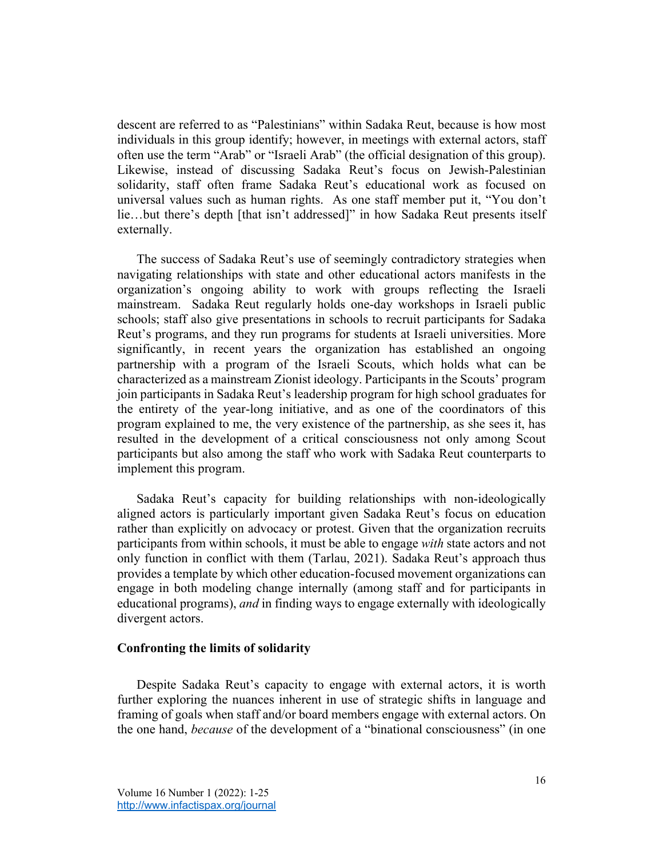descent are referred to as "Palestinians" within Sadaka Reut, because is how most individuals in this group identify; however, in meetings with external actors, staff often use the term "Arab" or "Israeli Arab" (the official designation of this group). Likewise, instead of discussing Sadaka Reut's focus on Jewish-Palestinian solidarity, staff often frame Sadaka Reut's educational work as focused on universal values such as human rights. As one staff member put it, "You don't lie…but there's depth [that isn't addressed]" in how Sadaka Reut presents itself externally.

The success of Sadaka Reut's use of seemingly contradictory strategies when navigating relationships with state and other educational actors manifests in the organization's ongoing ability to work with groups reflecting the Israeli mainstream. Sadaka Reut regularly holds one-day workshops in Israeli public schools; staff also give presentations in schools to recruit participants for Sadaka Reut's programs, and they run programs for students at Israeli universities. More significantly, in recent years the organization has established an ongoing partnership with a program of the Israeli Scouts, which holds what can be characterized as a mainstream Zionist ideology. Participants in the Scouts' program join participants in Sadaka Reut's leadership program for high school graduates for the entirety of the year-long initiative, and as one of the coordinators of this program explained to me, the very existence of the partnership, as she sees it, has resulted in the development of a critical consciousness not only among Scout participants but also among the staff who work with Sadaka Reut counterparts to implement this program.

Sadaka Reut's capacity for building relationships with non-ideologically aligned actors is particularly important given Sadaka Reut's focus on education rather than explicitly on advocacy or protest. Given that the organization recruits participants from within schools, it must be able to engage *with* state actors and not only function in conflict with them (Tarlau, 2021). Sadaka Reut's approach thus provides a template by which other education-focused movement organizations can engage in both modeling change internally (among staff and for participants in educational programs), *and* in finding ways to engage externally with ideologically divergent actors.

#### **Confronting the limits of solidarity**

Despite Sadaka Reut's capacity to engage with external actors, it is worth further exploring the nuances inherent in use of strategic shifts in language and framing of goals when staff and/or board members engage with external actors. On the one hand, *because* of the development of a "binational consciousness" (in one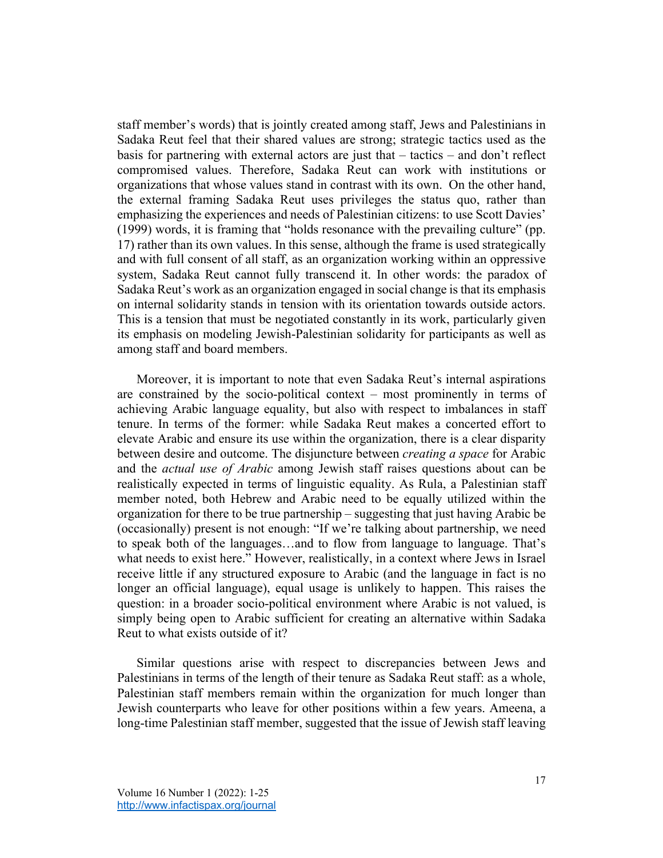staff member's words) that is jointly created among staff, Jews and Palestinians in Sadaka Reut feel that their shared values are strong; strategic tactics used as the basis for partnering with external actors are just that – tactics – and don't reflect compromised values. Therefore, Sadaka Reut can work with institutions or organizations that whose values stand in contrast with its own. On the other hand, the external framing Sadaka Reut uses privileges the status quo, rather than emphasizing the experiences and needs of Palestinian citizens: to use Scott Davies' (1999) words, it is framing that "holds resonance with the prevailing culture" (pp. 17) rather than its own values. In this sense, although the frame is used strategically and with full consent of all staff, as an organization working within an oppressive system, Sadaka Reut cannot fully transcend it. In other words: the paradox of Sadaka Reut's work as an organization engaged in social change is that its emphasis on internal solidarity stands in tension with its orientation towards outside actors. This is a tension that must be negotiated constantly in its work, particularly given its emphasis on modeling Jewish-Palestinian solidarity for participants as well as among staff and board members.

Moreover, it is important to note that even Sadaka Reut's internal aspirations are constrained by the socio-political context – most prominently in terms of achieving Arabic language equality, but also with respect to imbalances in staff tenure. In terms of the former: while Sadaka Reut makes a concerted effort to elevate Arabic and ensure its use within the organization, there is a clear disparity between desire and outcome. The disjuncture between *creating a space* for Arabic and the *actual use of Arabic* among Jewish staff raises questions about can be realistically expected in terms of linguistic equality. As Rula, a Palestinian staff member noted, both Hebrew and Arabic need to be equally utilized within the organization for there to be true partnership – suggesting that just having Arabic be (occasionally) present is not enough: "If we're talking about partnership, we need to speak both of the languages…and to flow from language to language. That's what needs to exist here." However, realistically, in a context where Jews in Israel receive little if any structured exposure to Arabic (and the language in fact is no longer an official language), equal usage is unlikely to happen. This raises the question: in a broader socio-political environment where Arabic is not valued, is simply being open to Arabic sufficient for creating an alternative within Sadaka Reut to what exists outside of it?

Similar questions arise with respect to discrepancies between Jews and Palestinians in terms of the length of their tenure as Sadaka Reut staff: as a whole, Palestinian staff members remain within the organization for much longer than Jewish counterparts who leave for other positions within a few years. Ameena, a long-time Palestinian staff member, suggested that the issue of Jewish staff leaving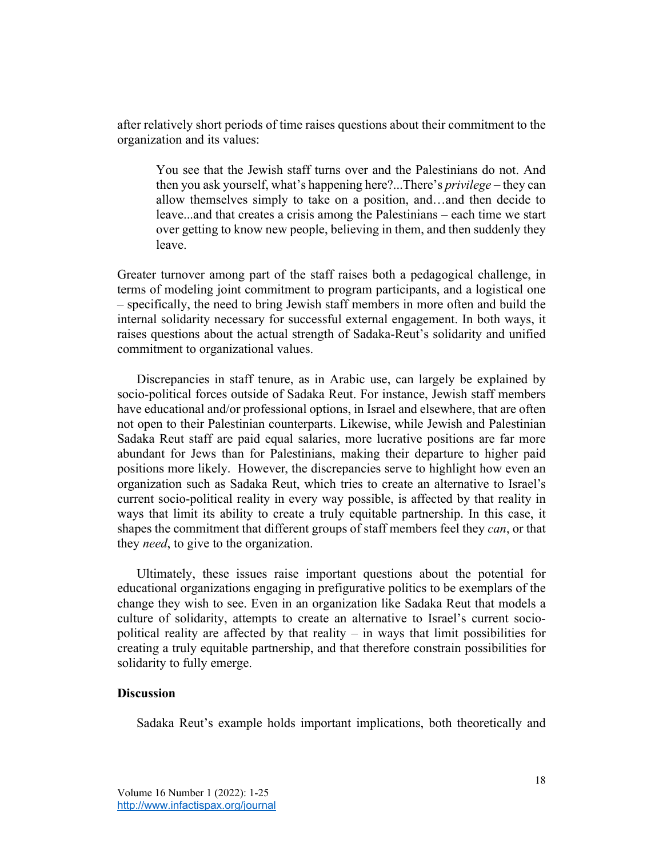after relatively short periods of time raises questions about their commitment to the organization and its values:

You see that the Jewish staff turns over and the Palestinians do not. And then you ask yourself, what's happening here?...There's *privilege* – they can allow themselves simply to take on a position, and…and then decide to leave...and that creates a crisis among the Palestinians – each time we start over getting to know new people, believing in them, and then suddenly they leave.

Greater turnover among part of the staff raises both a pedagogical challenge, in terms of modeling joint commitment to program participants, and a logistical one – specifically, the need to bring Jewish staff members in more often and build the internal solidarity necessary for successful external engagement. In both ways, it raises questions about the actual strength of Sadaka-Reut's solidarity and unified commitment to organizational values.

Discrepancies in staff tenure, as in Arabic use, can largely be explained by socio-political forces outside of Sadaka Reut. For instance, Jewish staff members have educational and/or professional options, in Israel and elsewhere, that are often not open to their Palestinian counterparts. Likewise, while Jewish and Palestinian Sadaka Reut staff are paid equal salaries, more lucrative positions are far more abundant for Jews than for Palestinians, making their departure to higher paid positions more likely. However, the discrepancies serve to highlight how even an organization such as Sadaka Reut, which tries to create an alternative to Israel's current socio-political reality in every way possible, is affected by that reality in ways that limit its ability to create a truly equitable partnership. In this case, it shapes the commitment that different groups of staff members feel they *can*, or that they *need*, to give to the organization.

Ultimately, these issues raise important questions about the potential for educational organizations engaging in prefigurative politics to be exemplars of the change they wish to see. Even in an organization like Sadaka Reut that models a culture of solidarity, attempts to create an alternative to Israel's current sociopolitical reality are affected by that reality – in ways that limit possibilities for creating a truly equitable partnership, and that therefore constrain possibilities for solidarity to fully emerge.

### **Discussion**

Sadaka Reut's example holds important implications, both theoretically and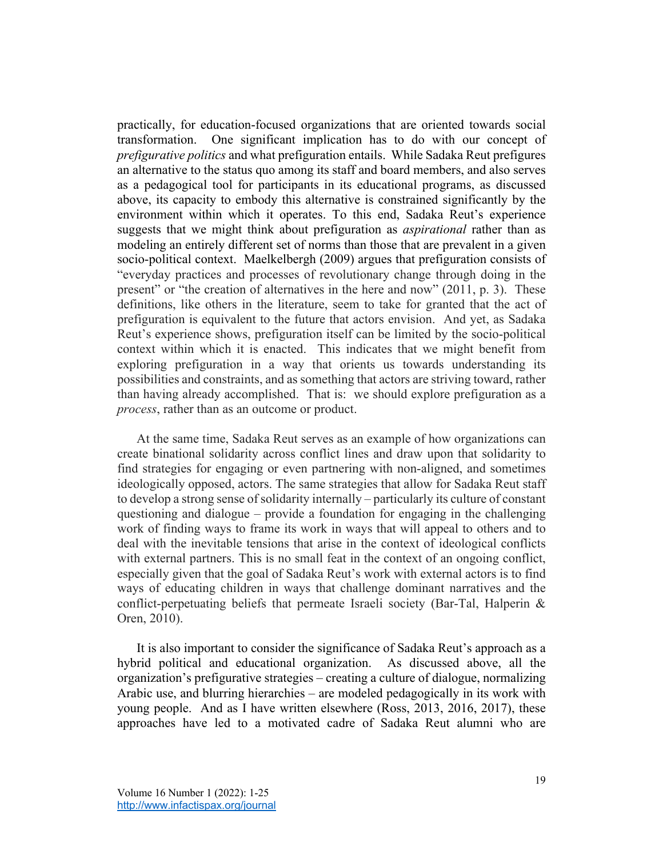practically, for education-focused organizations that are oriented towards social transformation. One significant implication has to do with our concept of *prefigurative politics* and what prefiguration entails. While Sadaka Reut prefigures an alternative to the status quo among its staff and board members, and also serves as a pedagogical tool for participants in its educational programs, as discussed above, its capacity to embody this alternative is constrained significantly by the environment within which it operates. To this end, Sadaka Reut's experience suggests that we might think about prefiguration as *aspirational* rather than as modeling an entirely different set of norms than those that are prevalent in a given socio-political context. Maelkelbergh (2009) argues that prefiguration consists of "everyday practices and processes of revolutionary change through doing in the present" or "the creation of alternatives in the here and now" (2011, p. 3). These definitions, like others in the literature, seem to take for granted that the act of prefiguration is equivalent to the future that actors envision. And yet, as Sadaka Reut's experience shows, prefiguration itself can be limited by the socio-political context within which it is enacted. This indicates that we might benefit from exploring prefiguration in a way that orients us towards understanding its possibilities and constraints, and as something that actors are striving toward, rather than having already accomplished. That is: we should explore prefiguration as a *process*, rather than as an outcome or product.

At the same time, Sadaka Reut serves as an example of how organizations can create binational solidarity across conflict lines and draw upon that solidarity to find strategies for engaging or even partnering with non-aligned, and sometimes ideologically opposed, actors. The same strategies that allow for Sadaka Reut staff to develop a strong sense of solidarity internally – particularly its culture of constant questioning and dialogue – provide a foundation for engaging in the challenging work of finding ways to frame its work in ways that will appeal to others and to deal with the inevitable tensions that arise in the context of ideological conflicts with external partners. This is no small feat in the context of an ongoing conflict, especially given that the goal of Sadaka Reut's work with external actors is to find ways of educating children in ways that challenge dominant narratives and the conflict-perpetuating beliefs that permeate Israeli society (Bar-Tal, Halperin & Oren, 2010).

It is also important to consider the significance of Sadaka Reut's approach as a hybrid political and educational organization. As discussed above, all the organization's prefigurative strategies – creating a culture of dialogue, normalizing Arabic use, and blurring hierarchies – are modeled pedagogically in its work with young people. And as I have written elsewhere (Ross, 2013, 2016, 2017), these approaches have led to a motivated cadre of Sadaka Reut alumni who are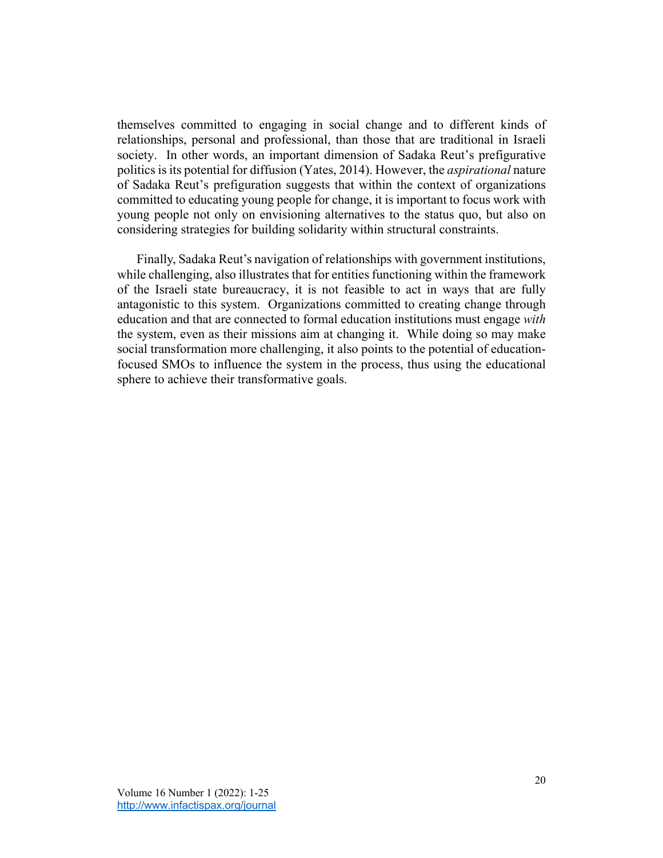themselves committed to engaging in social change and to different kinds of relationships, personal and professional, than those that are traditional in Israeli society. In other words, an important dimension of Sadaka Reut's prefigurative politics is its potential for diffusion (Yates, 2014). However, the *aspirational* nature of Sadaka Reut's prefiguration suggests that within the context of organizations committed to educating young people for change, it is important to focus work with young people not only on envisioning alternatives to the status quo, but also on considering strategies for building solidarity within structural constraints.

Finally, Sadaka Reut's navigation of relationships with government institutions, while challenging, also illustrates that for entities functioning within the framework of the Israeli state bureaucracy, it is not feasible to act in ways that are fully antagonistic to this system. Organizations committed to creating change through education and that are connected to formal education institutions must engage *with*  the system, even as their missions aim at changing it. While doing so may make social transformation more challenging, it also points to the potential of educationfocused SMOs to influence the system in the process, thus using the educational sphere to achieve their transformative goals.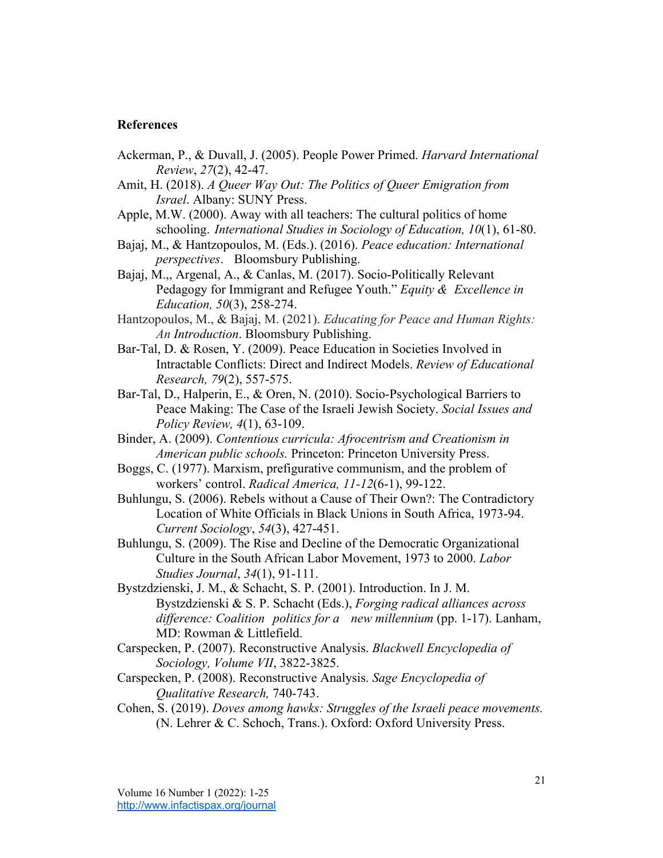#### **References**

- Ackerman, P., & Duvall, J. (2005). People Power Primed. *Harvard International Review*, *27*(2), 42-47.
- Amit, H. (2018). *A Queer Way Out: The Politics of Queer Emigration from Israel*. Albany: SUNY Press.
- Apple, M.W. (2000). Away with all teachers: The cultural politics of home schooling. *International Studies in Sociology of Education, 10*(1), 61-80.
- Bajaj, M., & Hantzopoulos, M. (Eds.). (2016). *Peace education: International perspectives*. Bloomsbury Publishing.
- Bajaj, M.,, Argenal, A., & Canlas, M. (2017). Socio-Politically Relevant Pedagogy for Immigrant and Refugee Youth." *Equity & Excellence in Education, 50*(3), 258-274.
- Hantzopoulos, M., & Bajaj, M. (2021). *Educating for Peace and Human Rights: An Introduction*. Bloomsbury Publishing.
- Bar-Tal, D. & Rosen, Y. (2009). Peace Education in Societies Involved in Intractable Conflicts: Direct and Indirect Models. *Review of Educational Research, 79*(2), 557-575.
- Bar-Tal, D., Halperin, E., & Oren, N. (2010). Socio-Psychological Barriers to Peace Making: The Case of the Israeli Jewish Society. *Social Issues and Policy Review, 4*(1), 63-109.
- Binder, A. (2009). *Contentious curricula: Afrocentrism and Creationism in American public schools.* Princeton: Princeton University Press.
- Boggs, C. (1977). Marxism, prefigurative communism, and the problem of workers' control. *Radical America, 11-12*(6-1), 99-122.
- Buhlungu, S. (2006). Rebels without a Cause of Their Own?: The Contradictory Location of White Officials in Black Unions in South Africa, 1973-94. *Current Sociology*, *54*(3), 427-451.
- Buhlungu, S. (2009). The Rise and Decline of the Democratic Organizational Culture in the South African Labor Movement, 1973 to 2000. *Labor Studies Journal*, *34*(1), 91-111.
- Bystzdzienski, J. M., & Schacht, S. P. (2001). Introduction. In J. M. Bystzdzienski & S. P. Schacht (Eds.), *Forging radical alliances across difference: Coalition politics for a new millennium* (pp. 1-17). Lanham, MD: Rowman & Littlefield.
- Carspecken, P. (2007). Reconstructive Analysis. *Blackwell Encyclopedia of Sociology, Volume VII*, 3822-3825.
- Carspecken, P. (2008). Reconstructive Analysis. *Sage Encyclopedia of Qualitative Research,* 740-743.
- Cohen, S. (2019). *Doves among hawks: Struggles of the Israeli peace movements.*  (N. Lehrer & C. Schoch, Trans.). Oxford: Oxford University Press.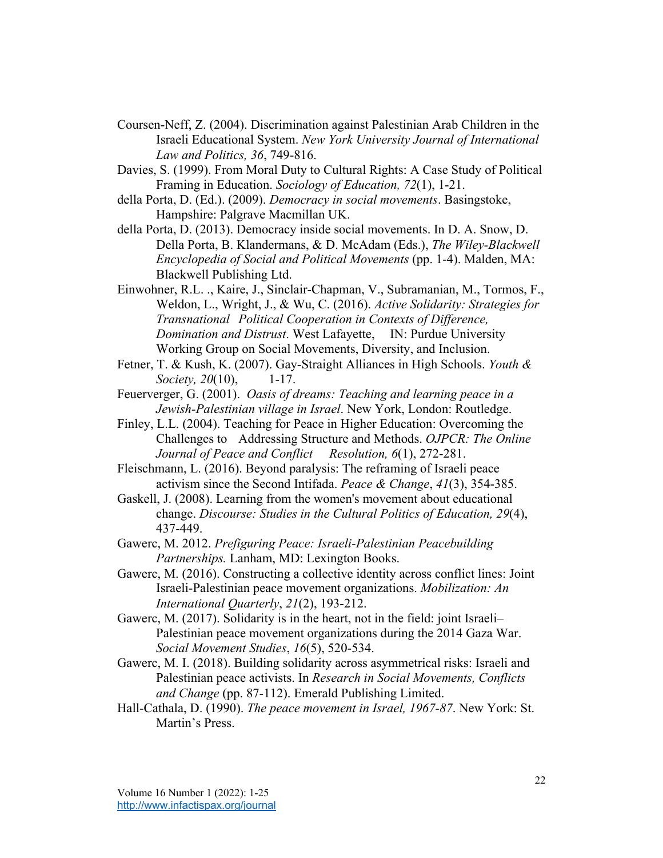- Coursen-Neff, Z. (2004). Discrimination against Palestinian Arab Children in the Israeli Educational System. *New York University Journal of International Law and Politics, 36*, 749-816.
- Davies, S. (1999). From Moral Duty to Cultural Rights: A Case Study of Political Framing in Education. *Sociology of Education, 72*(1), 1-21.
- della Porta, D. (Ed.). (2009). *Democracy in social movements*. Basingstoke, Hampshire: Palgrave Macmillan UK.
- della Porta, D. (2013). Democracy inside social movements. In D. A. Snow, D. Della Porta, B. Klandermans, & D. McAdam (Eds.), *The Wiley-Blackwell Encyclopedia of Social and Political Movements* (pp. 1-4). Malden, MA: Blackwell Publishing Ltd.
- Einwohner, R.L. ., Kaire, J., Sinclair-Chapman, V., Subramanian, M., Tormos, F., Weldon, L., Wright, J., & Wu, C. (2016). *Active Solidarity: Strategies for Transnational Political Cooperation in Contexts of Difference, Domination and Distrust*. West Lafayette, IN: Purdue University Working Group on Social Movements, Diversity, and Inclusion.
- Fetner, T. & Kush, K. (2007). Gay-Straight Alliances in High Schools. *Youth & Society, 20*(10), 1-17.
- Feuerverger, G. (2001). *Oasis of dreams: Teaching and learning peace in a Jewish-Palestinian village in Israel*. New York, London: Routledge.
- Finley, L.L. (2004). Teaching for Peace in Higher Education: Overcoming the Challenges to Addressing Structure and Methods. *OJPCR: The Online Journal of Peace and Conflict Resolution, 6*(1), 272-281.
- Fleischmann, L. (2016). Beyond paralysis: The reframing of Israeli peace activism since the Second Intifada. *Peace & Change*, *41*(3), 354-385.
- Gaskell, J. (2008). Learning from the women's movement about educational change. *Discourse: Studies in the Cultural Politics of Education, 29*(4), 437-449.
- Gawerc, M. 2012. *Prefiguring Peace: Israeli-Palestinian Peacebuilding Partnerships.* Lanham, MD: Lexington Books.
- Gawerc, M. (2016). Constructing a collective identity across conflict lines: Joint Israeli-Palestinian peace movement organizations. *Mobilization: An International Quarterly*, *21*(2), 193-212.
- Gawerc, M. (2017). Solidarity is in the heart, not in the field: joint Israeli– Palestinian peace movement organizations during the 2014 Gaza War. *Social Movement Studies*, *16*(5), 520-534.
- Gawerc, M. I. (2018). Building solidarity across asymmetrical risks: Israeli and Palestinian peace activists. In *Research in Social Movements, Conflicts and Change* (pp. 87-112). Emerald Publishing Limited.
- Hall-Cathala, D. (1990). *The peace movement in Israel, 1967-87*. New York: St. Martin's Press.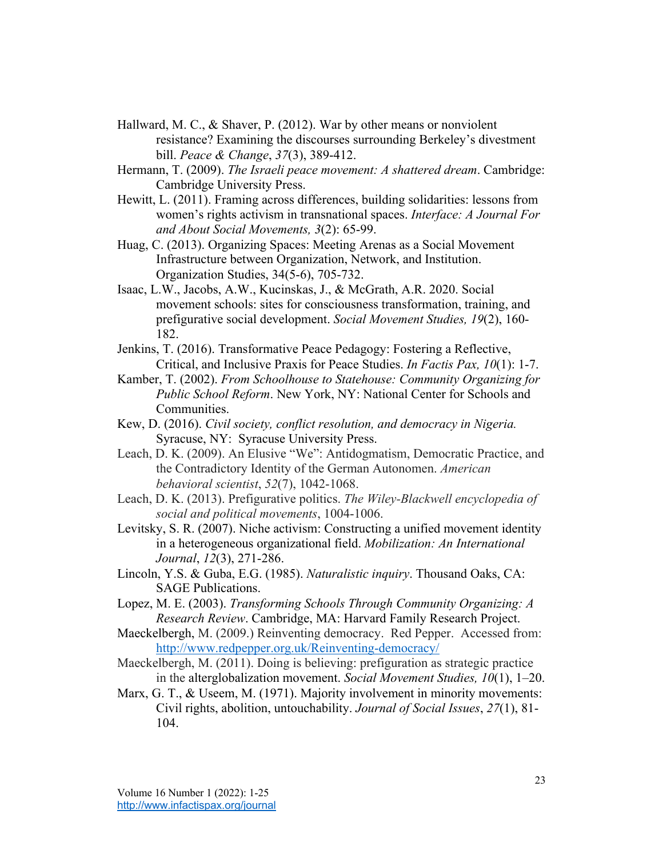- Hallward, M. C., & Shaver, P. (2012). War by other means or nonviolent resistance? Examining the discourses surrounding Berkeley's divestment bill. *Peace & Change*, *37*(3), 389-412.
- Hermann, T. (2009). *The Israeli peace movement: A shattered dream*. Cambridge: Cambridge University Press.
- Hewitt, L. (2011). Framing across differences, building solidarities: lessons from women's rights activism in transnational spaces. *Interface: A Journal For and About Social Movements, 3*(2): 65-99.
- Huag, C. (2013). Organizing Spaces: Meeting Arenas as a Social Movement Infrastructure between Organization, Network, and Institution. Organization Studies, 34(5-6), 705-732.
- Isaac, L.W., Jacobs, A.W., Kucinskas, J., & McGrath, A.R. 2020. Social movement schools: sites for consciousness transformation, training, and prefigurative social development. *Social Movement Studies, 19*(2), 160- 182.
- Jenkins, T. (2016). Transformative Peace Pedagogy: Fostering a Reflective, Critical, and Inclusive Praxis for Peace Studies. *In Factis Pax, 10*(1): 1-7.
- Kamber, T. (2002). *From Schoolhouse to Statehouse: Community Organizing for Public School Reform*. New York, NY: National Center for Schools and Communities.
- Kew, D. (2016). *Civil society, conflict resolution, and democracy in Nigeria.* Syracuse, NY: Syracuse University Press.
- Leach, D. K. (2009). An Elusive "We": Antidogmatism, Democratic Practice, and the Contradictory Identity of the German Autonomen. *American behavioral scientist*, *52*(7), 1042-1068.
- Leach, D. K. (2013). Prefigurative politics. *The Wiley-Blackwell encyclopedia of social and political movements*, 1004-1006.
- Levitsky, S. R. (2007). Niche activism: Constructing a unified movement identity in a heterogeneous organizational field. *Mobilization: An International Journal*, *12*(3), 271-286.
- Lincoln, Y.S. & Guba, E.G. (1985). *Naturalistic inquiry*. Thousand Oaks, CA: SAGE Publications.
- Lopez, M. E. (2003). *Transforming Schools Through Community Organizing: A Research Review*. Cambridge, MA: Harvard Family Research Project.
- Maeckelbergh, M. (2009.) Reinventing democracy. Red Pepper. Accessed from: http://www.redpepper.org.uk/Reinventing-democracy/
- Maeckelbergh, M. (2011). Doing is believing: prefiguration as strategic practice in the alterglobalization movement. *Social Movement Studies, 10*(1), 1–20.
- Marx, G. T., & Useem, M. (1971). Majority involvement in minority movements: Civil rights, abolition, untouchability. *Journal of Social Issues*, *27*(1), 81- 104.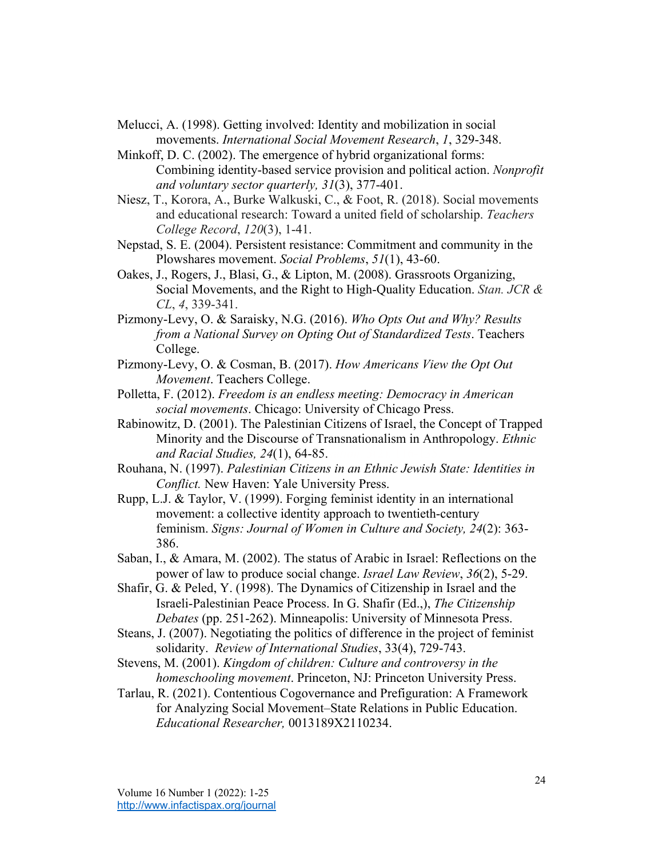- Melucci, A. (1998). Getting involved: Identity and mobilization in social movements. *International Social Movement Research*, *1*, 329-348.
- Minkoff, D. C. (2002). The emergence of hybrid organizational forms: Combining identity-based service provision and political action. *Nonprofit and voluntary sector quarterly, 31*(3), 377-401.
- Niesz, T., Korora, A., Burke Walkuski, C., & Foot, R. (2018). Social movements and educational research: Toward a united field of scholarship. *Teachers College Record*, *120*(3), 1-41.
- Nepstad, S. E. (2004). Persistent resistance: Commitment and community in the Plowshares movement. *Social Problems*, *51*(1), 43-60.
- Oakes, J., Rogers, J., Blasi, G., & Lipton, M. (2008). Grassroots Organizing, Social Movements, and the Right to High-Quality Education. *Stan. JCR & CL*, *4*, 339-341.
- Pizmony-Levy, O. & Saraisky, N.G. (2016). *Who Opts Out and Why? Results from a National Survey on Opting Out of Standardized Tests*. Teachers College.
- Pizmony-Levy, O. & Cosman, B. (2017). *How Americans View the Opt Out Movement*. Teachers College.
- Polletta, F. (2012). *Freedom is an endless meeting: Democracy in American social movements*. Chicago: University of Chicago Press.
- Rabinowitz, D. (2001). The Palestinian Citizens of Israel, the Concept of Trapped Minority and the Discourse of Transnationalism in Anthropology. *Ethnic and Racial Studies, 24(1), 64-85.*
- Rouhana, N. (1997). *Palestinian Citizens in an Ethnic Jewish State: Identities in Conflict.* New Haven: Yale University Press.
- Rupp, L.J. & Taylor, V. (1999). Forging feminist identity in an international movement: a collective identity approach to twentieth-century feminism. *Signs: Journal of Women in Culture and Society, 24*(2): 363- 386.
- Saban, I., & Amara, M. (2002). The status of Arabic in Israel: Reflections on the power of law to produce social change. *Israel Law Review*, *36*(2), 5-29.
- Shafir, G. & Peled, Y. (1998). The Dynamics of Citizenship in Israel and the Israeli-Palestinian Peace Process. In G. Shafir (Ed.,), *The Citizenship Debates* (pp. 251-262). Minneapolis: University of Minnesota Press.
- Steans, J. (2007). Negotiating the politics of difference in the project of feminist solidarity. *Review of International Studies*, 33(4), 729-743.
- Stevens, M. (2001). *Kingdom of children: Culture and controversy in the homeschooling movement*. Princeton, NJ: Princeton University Press.
- Tarlau, R. (2021). Contentious Cogovernance and Prefiguration: A Framework for Analyzing Social Movement–State Relations in Public Education. *Educational Researcher,* 0013189X2110234.